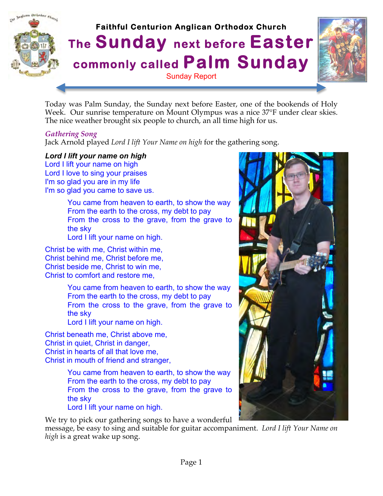

Today was Palm Sunday, the Sunday next before Easter, one of the bookends of Holy Week. Our sunrise temperature on Mount Olympus was a nice 37°F under clear skies. The nice weather brought six people to church, an all time high for us.

#### *Gathering Song*

Jack Arnold played *Lord I lift Your Name on high* for the gathering song.

#### *Lord I lift your name on high*

Lord I lift your name on high Lord I love to sing your praises I'm so glad you are in my life I'm so glad you came to save us.

> You came from heaven to earth, to show the way From the earth to the cross, my debt to pay From the cross to the grave, from the grave to the sky

Lord I lift your name on high.

Christ be with me, Christ within me, Christ behind me, Christ before me, Christ beside me, Christ to win me, Christ to comfort and restore me,

> You came from heaven to earth, to show the way From the earth to the cross, my debt to pay From the cross to the grave, from the grave to the sky Lord I lift your name on high.

Christ beneath me, Christ above me, Christ in quiet, Christ in danger, Christ in hearts of all that love me, Christ in mouth of friend and stranger,

> You came from heaven to earth, to show the way From the earth to the cross, my debt to pay From the cross to the grave, from the grave to the sky Lord I lift your name on high.

We try to pick our gathering songs to have a wonderful

message, be easy to sing and suitable for guitar accompaniment. *Lord I lift Your Name on high* is a great wake up song.

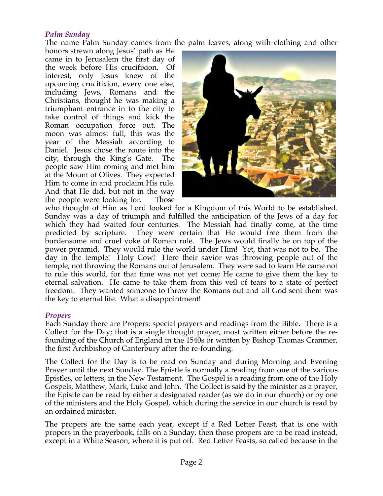#### *Palm Sunday*

The name Palm Sunday comes from the palm leaves, along with clothing and other

honors strewn along Jesus' path as He came in to Jerusalem the first day of the week before His crucifixion. Of interest, only Jesus knew of the upcoming crucifixion, every one else, including Jews, Romans and the Christians, thought he was making a triumphant entrance in to the city to take control of things and kick the Roman occupation force out. The moon was almost full, this was the year of the Messiah according to Daniel. Jesus chose the route into the city, through the King's Gate. The people saw Him coming and met him at the Mount of Olives. They expected Him to come in and proclaim His rule. And that He did, but not in the way the people were looking for. Those



who thought of Him as Lord looked for a Kingdom of this World to be established. Sunday was a day of triumph and fulfilled the anticipation of the Jews of a day for which they had waited four centuries. The Messiah had finally come, at the time predicted by scripture. They were certain that He would free them from the burdensome and cruel yoke of Roman rule. The Jews would finally be on top of the power pyramid. They would rule the world under Him! Yet, that was not to be. The day in the temple! Holy Cow! Here their savior was throwing people out of the temple, not throwing the Romans out of Jerusalem. They were sad to learn He came not to rule this world, for that time was not yet come; He came to give them the key to eternal salvation. He came to take them from this veil of tears to a state of perfect freedom. They wanted someone to throw the Romans out and all God sent them was the key to eternal life. What a disappointment!

#### *Propers*

Each Sunday there are Propers: special prayers and readings from the Bible. There is a Collect for the Day; that is a single thought prayer, most written either before the refounding of the Church of England in the 1540s or written by Bishop Thomas Cranmer, the first Archbishop of Canterbury after the re-founding.

The Collect for the Day is to be read on Sunday and during Morning and Evening Prayer until the next Sunday. The Epistle is normally a reading from one of the various Epistles, or letters, in the New Testament. The Gospel is a reading from one of the Holy Gospels, Matthew, Mark, Luke and John. The Collect is said by the minister as a prayer, the Epistle can be read by either a designated reader (as we do in our church) or by one of the ministers and the Holy Gospel, which during the service in our church is read by an ordained minister.

The propers are the same each year, except if a Red Letter Feast, that is one with propers in the prayerbook, falls on a Sunday, then those propers are to be read instead, except in a White Season, where it is put off. Red Letter Feasts, so called because in the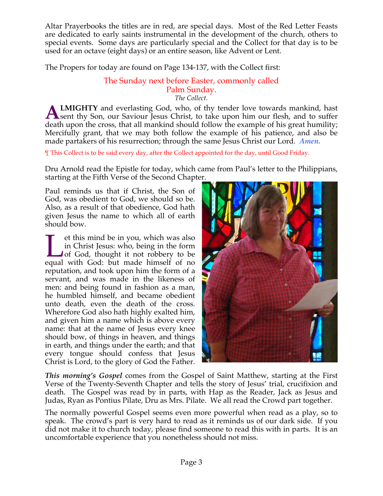Altar Prayerbooks the titles are in red, are special days. Most of the Red Letter Feasts are dedicated to early saints instrumental in the development of the church, others to special events. Some days are particularly special and the Collect for that day is to be used for an octave (eight days) or an entire season, like Advent or Lent.

The Propers for today are found on Page 134-137, with the Collect first:

#### The Sunday next before Easter, commonly called Palm Sunday. *The Collect.*

**LMIGHTY** and everlasting God, who, of thy tender love towards mankind, hast **ALMIGHTY** and everlasting God, who, of thy tender love towards mankind, hast sent thy Son, our Saviour Jesus Christ, to take upon him our flesh, and to suffer death upon the cross, that all mankind should follow the example of his great humility; Mercifully grant, that we may both follow the example of his patience, and also be made partakers of his resurrection; through the same Jesus Christ our Lord*. Amen.*

¶ This Collect is to be said every day, after the Collect appointed for the day, until Good Friday.

Dru Arnold read the Epistle for today, which came from Paul's letter to the Philippians, starting at the Fifth Verse of the Second Chapter.

Paul reminds us that if Christ, the Son of God, was obedient to God, we should so be. Also, as a result of that obedience, God hath given Jesus the name to which all of earth should bow.

et this mind be in you, which was also in Christ Jesus: who, being in the form I of God, thought it not robbery to be It this mind be in you, which was also in Christ Jesus: who, being in the form of God, thought it not robbery to be equal with God: but made himself of no reputation, and took upon him the form of a servant, and was made in the likeness of men: and being found in fashion as a man, he humbled himself, and became obedient unto death, even the death of the cross. Wherefore God also hath highly exalted him, and given him a name which is above every name: that at the name of Jesus every knee should bow, of things in heaven, and things in earth, and things under the earth; and that every tongue should confess that Jesus Christ is Lord, to the glory of God the Father.



*This morning's Gospel* comes from the Gospel of Saint Matthew, starting at the First Verse of the Twenty-Seventh Chapter and tells the story of Jesus' trial, crucifixion and death. The Gospel was read by in parts, with Hap as the Reader, Jack as Jesus and Judas, Ryan as Pontius Pilate, Dru as Mrs. Pilate. We all read the Crowd part together.

The normally powerful Gospel seems even more powerful when read as a play, so to speak. The crowd's part is very hard to read as it reminds us of our dark side. If you did not make it to church today, please find someone to read this with in parts. It is an uncomfortable experience that you nonetheless should not miss.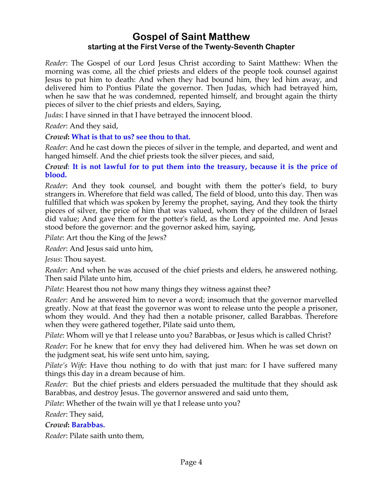# **Gospel of Saint Matthew starting at the First Verse of the Twenty-Seventh Chapter**

*Reader*: The Gospel of our Lord Jesus Christ according to Saint Matthew: When the morning was come, all the chief priests and elders of the people took counsel against Jesus to put him to death: And when they had bound him, they led him away, and delivered him to Pontius Pilate the governor. Then Judas, which had betrayed him, when he saw that he was condemned, repented himself, and brought again the thirty pieces of silver to the chief priests and elders, Saying,

*Judas*: I have sinned in that I have betrayed the innocent blood.

*Reader*: And they said,

#### *Crowd***: What is that to us? see thou to that.**

*Reader*: And he cast down the pieces of silver in the temple, and departed, and went and hanged himself. And the chief priests took the silver pieces, and said,

*Crowd***: It is not lawful for to put them into the treasury, because it is the price of blood.**

*Reader*: And they took counsel, and bought with them the potter's field, to bury strangers in. Wherefore that field was called, The field of blood, unto this day. Then was fulfilled that which was spoken by Jeremy the prophet, saying, And they took the thirty pieces of silver, the price of him that was valued, whom they of the children of Israel did value; And gave them for the potter's field, as the Lord appointed me. And Jesus stood before the governor: and the governor asked him, saying,

*Pilate*: Art thou the King of the Jews?

*Reader*: And Jesus said unto him,

*Jesus*: Thou sayest.

*Reader*: And when he was accused of the chief priests and elders, he answered nothing. Then said Pilate unto him,

*Pilate*: Hearest thou not how many things they witness against thee?

*Reader*: And he answered him to never a word; insomuch that the governor marvelled greatly. Now at that feast the governor was wont to release unto the people a prisoner, whom they would. And they had then a notable prisoner, called Barabbas. Therefore when they were gathered together, Pilate said unto them,

*Pilate*: Whom will ye that I release unto you? Barabbas, or Jesus which is called Christ?

*Reader*: For he knew that for envy they had delivered him. When he was set down on the judgment seat, his wife sent unto him, saying,

*Pilate's Wife*: Have thou nothing to do with that just man: for I have suffered many things this day in a dream because of him.

*Reader*: But the chief priests and elders persuaded the multitude that they should ask Barabbas, and destroy Jesus. The governor answered and said unto them,

*Pilate*: Whether of the twain will ye that I release unto you?

*Reader*: They said,

*Crowd***: Barabbas.**

*Reader*: Pilate saith unto them,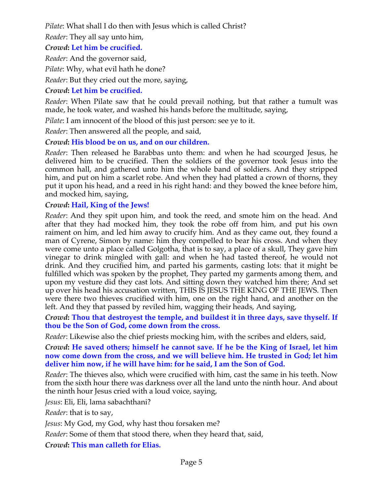*Pilate*: What shall I do then with Jesus which is called Christ?

*Reader*: They all say unto him,

# *Crowd***: Let him be crucified.**

*Reader*: And the governor said,

*Pilate*: Why, what evil hath he done?

*Reader*: But they cried out the more, saying,

# *Crowd***: Let him be crucified.**

*Reader*: When Pilate saw that he could prevail nothing, but that rather a tumult was made, he took water, and washed his hands before the multitude, saying,

*Pilate*: I am innocent of the blood of this just person: see ye to it.

*Reader*: Then answered all the people, and said,

# *Crowd***: His blood be on us, and on our children.**

*Reader*: Then released he Barabbas unto them: and when he had scourged Jesus, he delivered him to be crucified. Then the soldiers of the governor took Jesus into the common hall, and gathered unto him the whole band of soldiers. And they stripped him, and put on him a scarlet robe. And when they had platted a crown of thorns, they put it upon his head, and a reed in his right hand: and they bowed the knee before him, and mocked him, saying,

# *Crowd***: Hail, King of the Jews!**

*Reader*: And they spit upon him, and took the reed, and smote him on the head. And after that they had mocked him, they took the robe off from him, and put his own raiment on him, and led him away to crucify him. And as they came out, they found a man of Cyrene, Simon by name: him they compelled to bear his cross. And when they were come unto a place called Golgotha, that is to say, a place of a skull, They gave him vinegar to drink mingled with gall: and when he had tasted thereof, he would not drink. And they crucified him, and parted his garments, casting lots: that it might be fulfilled which was spoken by the prophet, They parted my garments among them, and upon my vesture did they cast lots. And sitting down they watched him there; And set up over his head his accusation written, THIS IS JESUS THE KING OF THE JEWS. Then were there two thieves crucified with him, one on the right hand, and another on the left. And they that passed by reviled him, wagging their heads, And saying,

*Crowd***: Thou that destroyest the temple, and buildest it in three days, save thyself. If thou be the Son of God, come down from the cross.**

*Reader*: Likewise also the chief priests mocking him, with the scribes and elders, said,

*Crowd***: He saved others; himself he cannot save. If he be the King of Israel, let him now come down from the cross, and we will believe him. He trusted in God; let him deliver him now, if he will have him: for he said, I am the Son of God.**

*Reader*: The thieves also, which were crucified with him, cast the same in his teeth. Now from the sixth hour there was darkness over all the land unto the ninth hour. And about the ninth hour Jesus cried with a loud voice, saying,

*Jesus*: Eli, Eli, lama sabachthani?

*Reader*: that is to say,

*Jesus*: My God, my God, why hast thou forsaken me?

*Reader*: Some of them that stood there, when they heard that, said,

*Crowd***: This man calleth for Elias.**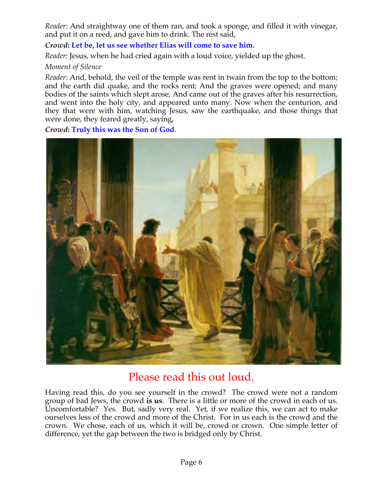*Reader*: And straightway one of them ran, and took a sponge, and filled it with vinegar, and put it on a reed, and gave him to drink. The rest said,

*Crowd***: Let be, let us see whether Elias will come to save him.**

*Reader*: Jesus, when he had cried again with a loud voice, yielded up the ghost.

# *Moment of Silence*

*Reader*: And, behold, the veil of the temple was rent in twain from the top to the bottom; and the earth did quake, and the rocks rent; And the graves were opened; and many bodies of the saints which slept arose, And came out of the graves after his resurrection, and went into the holy city, and appeared unto many. Now when the centurion, and they that were with him, watching Jesus, saw the earthquake, and those things that were done, they feared greatly, saying,

*Crowd***: Truly this was the Son of God.**



# Please read this out loud.

Having read this, do you see yourself in the crowd? The crowd were not a random group of bad Jews, the crowd **is us**. There is a little or more of the crowd in each of us. Uncomfortable? Yes. But, sadly very real. Yet, if we realize this, we can act to make ourselves less of the crowd and more of the Christ. For in us each is the crowd and the crown. We chose, each of us, which it will be, crowd or crown. One simple letter of difference, yet the gap between the two is bridged only by Christ.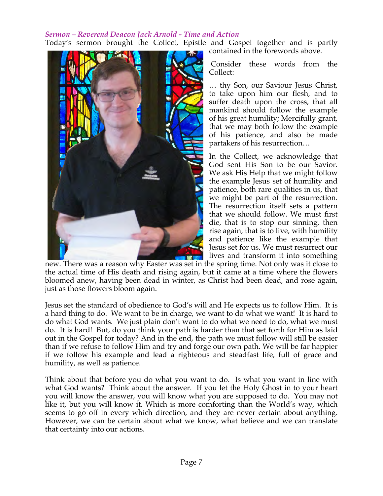#### *Sermon – Reverend Deacon Jack Arnold - Time and Action*

Today's sermon brought the Collect, Epistle and Gospel together and is partly contained in the forewords above.



Consider these words from the Collect:

… thy Son, our Saviour Jesus Christ, to take upon him our flesh, and to suffer death upon the cross, that all mankind should follow the example of his great humility; Mercifully grant, that we may both follow the example of his patience, and also be made partakers of his resurrection…

In the Collect, we acknowledge that God sent His Son to be our Savior. We ask His Help that we might follow the example Jesus set of humility and patience, both rare qualities in us, that we might be part of the resurrection. The resurrection itself sets a pattern that we should follow. We must first die, that is to stop our sinning, then rise again, that is to live, with humility and patience like the example that Jesus set for us. We must resurrect our lives and transform it into something

new. There was a reason why Easter was set in the spring time. Not only was it close to the actual time of His death and rising again, but it came at a time where the flowers bloomed anew, having been dead in winter, as Christ had been dead, and rose again, just as those flowers bloom again.

Jesus set the standard of obedience to God's will and He expects us to follow Him. It is a hard thing to do. We want to be in charge, we want to do what we want! It is hard to do what God wants. We just plain don't want to do what we need to do, what we must do. It is hard! But, do you think your path is harder than that set forth for Him as laid out in the Gospel for today? And in the end, the path we must follow will still be easier than if we refuse to follow Him and try and forge our own path. We will be far happier if we follow his example and lead a righteous and steadfast life, full of grace and humility, as well as patience.

Think about that before you do what you want to do. Is what you want in line with what God wants? Think about the answer. If you let the Holy Ghost in to your heart you will know the answer, you will know what you are supposed to do. You may not like it, but you will know it. Which is more comforting than the World's way, which seems to go off in every which direction, and they are never certain about anything. However, we can be certain about what we know, what believe and we can translate that certainty into our actions.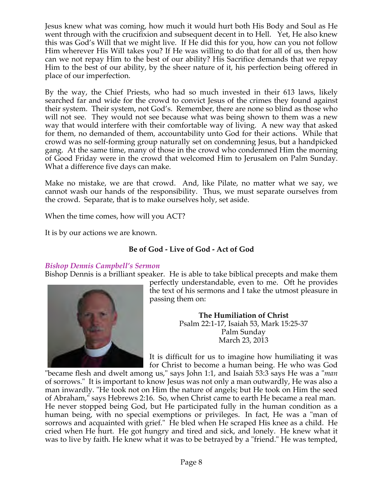Jesus knew what was coming, how much it would hurt both His Body and Soul as He went through with the crucifixion and subsequent decent in to Hell. Yet, He also knew this was God's Will that we might live. If He did this for you, how can you not follow Him wherever His Will takes you? If He was willing to do that for all of us, then how can we not repay Him to the best of our ability? His Sacrifice demands that we repay Him to the best of our ability, by the sheer nature of it, his perfection being offered in place of our imperfection.

By the way, the Chief Priests, who had so much invested in their 613 laws, likely searched far and wide for the crowd to convict Jesus of the crimes they found against their system. Their system, not God's. Remember, there are none so blind as those who will not see. They would not see because what was being shown to them was a new way that would interfere with their comfortable way of living. A new way that asked for them, no demanded of them, accountability unto God for their actions. While that crowd was no self-forming group naturally set on condemning Jesus, but a handpicked gang. At the same time, many of those in the crowd who condemned Him the morning of Good Friday were in the crowd that welcomed Him to Jerusalem on Palm Sunday. What a difference five days can make.

Make no mistake, we are that crowd. And, like Pilate, no matter what we say, we cannot wash our hands of the responsibility. Thus, we must separate ourselves from the crowd. Separate, that is to make ourselves holy, set aside.

When the time comes, how will you ACT?

It is by our actions we are known.

# **Be of God - Live of God - Act of God**

# *Bishop Dennis Campbell's Sermon*

Bishop Dennis is a brilliant speaker. He is able to take biblical precepts and make them



perfectly understandable, even to me. Oft he provides the text of his sermons and I take the utmost pleasure in passing them on:

> **The Humiliation of Christ** Psalm 22:1-17, Isaiah 53, Mark 15:25-37 Palm Sunday March 23, 2013

It is difficult for us to imagine how humiliating it was for Christ to become a human being. He who was God

"became flesh and dwelt among us," says John 1:1, and Isaiah 53:3 says He was a "*man* of sorrows." It is important to know Jesus was not only a man outwardly, He was also a man inwardly. "He took not on Him the nature of angels; but He took on Him the seed of Abraham," says Hebrews 2:16. So, when Christ came to earth He became a real man. He never stopped being God, but He participated fully in the human condition as a human being, with no special exemptions or privileges. In fact, He was a "man of sorrows and acquainted with grief." He bled when He scraped His knee as a child. He cried when He hurt. He got hungry and tired and sick, and lonely. He knew what it was to live by faith. He knew what it was to be betrayed by a "friend." He was tempted,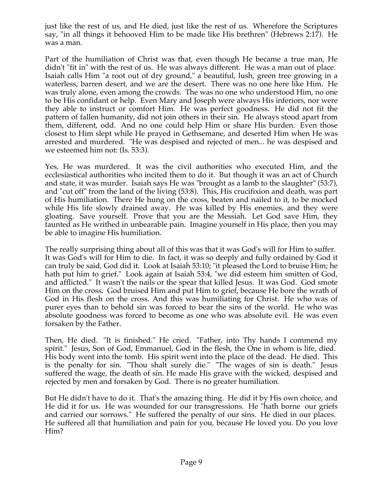just like the rest of us, and He died, just like the rest of us. Wherefore the Scriptures say, "in all things it behooved Him to be made like His brethren" (Hebrews 2:17). He was a man.

Part of the humiliation of Christ was that, even though He became a true man, He didn't "fit in" with the rest of us. He was always different. He was a man out of place. Isaiah calls Him "a root out of dry ground," a beautiful, lush, green tree growing in a waterless, barren desert, and we are the desert. There was no one here like Him. He was truly alone, even among the crowds. The was no one who understood Him, no one to be His confidant or help. Even Mary and Joseph were always His inferiors, nor were they able to instruct or comfort Him. He was perfect goodness. He did not fit the pattern of fallen humanity, did not join others in their sin. He always stood apart from them, different, odd. And no one could help Him or share His burden. Even those closest to Him slept while He prayed in Gethsemane, and deserted Him when He was arrested and murdered. "He was despised and rejected of men... he was despised and we esteemed him not: (Is. 53:3).

Yes, He was murdered. It was the civil authorities who executed Him, and the ecclesiastical authorities who incited them to do it. But though it was an act of Church and state, it was murder. Isaiah says He was "brought as a lamb to the slaughter" (53:7), and "cut off" from the land of the living (53:8). This, His crucifixion and death, was part of His humiliation. There He hung on the cross, beaten and nailed to it, to be mocked while His life slowly drained away. He was killed by His enemies, and they were gloating. Save yourself. Prove that you are the Messiah. Let God save Him, they taunted as He writhed in unbearable pain. Imagine yourself in His place, then you may be able to imagine His humiliation.

The really surprising thing about all of this was that it was God's will for Him to suffer. It was God's will for Him to die. In fact, it was so deeply and fully ordained by God it can truly be said, God did it. Look at Isaiah 53:10; "it pleased the Lord to bruise Him; he hath put him to grief." Look again at Isaiah 53:4, "we did esteem him smitten of God, and afflicted." It wasn't the nails or the spear that killed Jesus. It was God. God smote Him on the cross. God bruised Him and put Him to grief, because He bore the wrath of God in His flesh on the cross. And this was humiliating for Christ. He who was of purer eyes than to behold sin was forced to bear the sins of the world. He who was absolute goodness was forced to become as one who was absolute evil. He was even forsaken by the Father.

Then, He died. "It is finished." He cried. "Father, into Thy hands I commend my spirit." Jesus, Son of God, Emmanuel, God in the flesh, the One in whom is life, died. His body went into the tomb. His spirit went into the place of the dead. He died. This is the penalty for sin. "Thou shalt surely die." "The wages of sin is death." Jesus suffered the wage, the death of sin. He made His grave with the wicked, despised and rejected by men and forsaken by God. There is no greater humiliation.

But He didn't have to do it. That's the amazing thing. He did it by His own choice, and He did it for us. He was wounded for our transgressions. He "hath borne our griefs and carried our sorrows." He suffered the penalty of our sins. He died in our places. He suffered all that humiliation and pain for you, because He loved you. Do you love Him?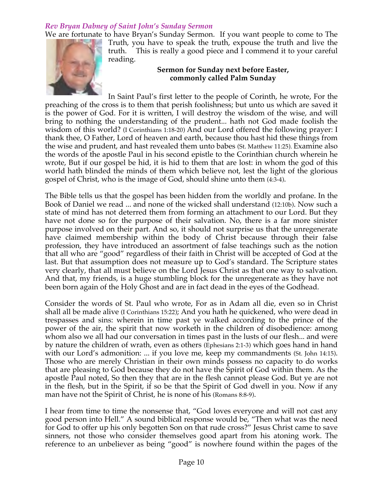# *Rev Bryan Dabney of Saint John's Sunday Sermon*

We are fortunate to have Bryan's Sunday Sermon. If you want people to come to The



Truth, you have to speak the truth, expouse the truth and live the truth. This is really a good piece and I commend it to your careful reading.

#### **Sermon for Sunday next before Easter, commonly called Palm Sunday**

In Saint Paul's first letter to the people of Corinth, he wrote, For the preaching of the cross is to them that perish foolishness; but unto us which are saved it is the power of God. For it is written, I will destroy the wisdom of the wise, and will bring to nothing the understanding of the prudent... hath not God made foolish the wisdom of this world? (I Corinthians 1:18-20) And our Lord offered the following prayer: I thank thee, O Father, Lord of heaven and earth, because thou hast hid these things from the wise and prudent, and hast revealed them unto babes (St. Matthew 11:25). Examine also the words of the apostle Paul in his second epistle to the Corinthian church wherein he wrote, But if our gospel be hid, it is hid to them that are lost: in whom the god of this world hath blinded the minds of them which believe not, lest the light of the glorious gospel of Christ, who is the image of God, should shine unto them (4:3-4).

The Bible tells us that the gospel has been hidden from the worldly and profane. In the Book of Daniel we read ... and none of the wicked shall understand (12:10b). Now such a state of mind has not deterred them from forming an attachment to our Lord. But they have not done so for the purpose of their salvation. No, there is a far more sinister purpose involved on their part. And so, it should not surprise us that the unregenerate have claimed membership within the body of Christ because through their false profession, they have introduced an assortment of false teachings such as the notion that all who are "good" regardless of their faith in Christ will be accepted of God at the last. But that assumption does not measure up to God's standard. The Scripture states very clearly, that all must believe on the Lord Jesus Christ as that one way to salvation. And that, my friends, is a huge stumbling block for the unregenerate as they have not been born again of the Holy Ghost and are in fact dead in the eyes of the Godhead.

Consider the words of St. Paul who wrote, For as in Adam all die, even so in Christ shall all be made alive (I Corinthians 15:22); And you hath he quickened, who were dead in trespasses and sins: wherein in time past ye walked according to the prince of the power of the air, the spirit that now worketh in the children of disobedience: among whom also we all had our conversation in times past in the lusts of our flesh... and were by nature the children of wrath, even as others (Ephesians 2:1-3) which goes hand in hand with our Lord's admonition: ... if you love me, keep my commandments (St. John 14:15). Those who are merely Christian in their own minds possess no capacity to do works that are pleasing to God because they do not have the Spirit of God within them. As the apostle Paul noted, So then they that are in the flesh cannot please God. But ye are not in the flesh, but in the Spirit, if so be that the Spirit of God dwell in you. Now if any man have not the Spirit of Christ, he is none of his (Romans 8:8-9).

I hear from time to time the nonsense that, "God loves everyone and will not cast any good person into Hell." A sound biblical response would be, "Then what was the need for God to offer up his only begotten Son on that rude cross?" Jesus Christ came to save sinners, not those who consider themselves good apart from his atoning work. The reference to an unbeliever as being "good" is nowhere found within the pages of the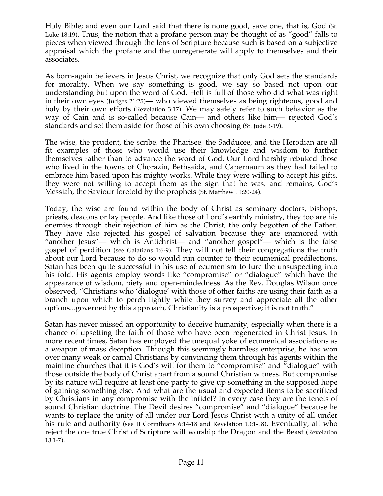Holy Bible; and even our Lord said that there is none good, save one, that is, God (St. Luke 18:19). Thus, the notion that a profane person may be thought of as "good" falls to pieces when viewed through the lens of Scripture because such is based on a subjective appraisal which the profane and the unregenerate will apply to themselves and their associates.

As born-again believers in Jesus Christ, we recognize that only God sets the standards for morality. When we say something is good, we say so based not upon our understanding but upon the word of God. Hell is full of those who did what was right in their own eyes (Judges 21:25)— who viewed themselves as being righteous, good and holy by their own efforts (Revelation 3:17). We may safely refer to such behavior as the way of Cain and is so-called because Cain— and others like him— rejected God's standards and set them aside for those of his own choosing (St. Jude 3-19).

The wise, the prudent, the scribe, the Pharisee, the Sadducee, and the Herodian are all fit examples of those who would use their knowledge and wisdom to further themselves rather than to advance the word of God. Our Lord harshly rebuked those who lived in the towns of Chorazin, Bethsaida, and Capernaum as they had failed to embrace him based upon his mighty works. While they were willing to accept his gifts, they were not willing to accept them as the sign that he was, and remains, God's Messiah, the Saviour foretold by the prophets (St. Matthew 11:20-24).

Today, the wise are found within the body of Christ as seminary doctors, bishops, priests, deacons or lay people. And like those of Lord's earthly ministry, they too are his enemies through their rejection of him as the Christ, the only begotten of the Father. They have also rejected his gospel of salvation because they are enamored with "another Jesus"— which is Antichrist— and "another gospel"— which is the false gospel of perdition (see Galatians 1:6-9). They will not tell their congregations the truth about our Lord because to do so would run counter to their ecumenical predilections. Satan has been quite successful in his use of ecumenism to lure the unsuspecting into his fold. His agents employ words like "compromise" or "dialogue" which have the appearance of wisdom, piety and open-mindedness. As the Rev. Douglas Wilson once observed, "Christians who 'dialogue' with those of other faiths are using their faith as a branch upon which to perch lightly while they survey and appreciate all the other options...governed by this approach, Christianity is a prospective; it is not truth."

Satan has never missed an opportunity to deceive humanity, especially when there is a chance of upsetting the faith of those who have been regenerated in Christ Jesus. In more recent times, Satan has employed the unequal yoke of ecumenical associations as a weapon of mass deception. Through this seemingly harmless enterprise, he has won over many weak or carnal Christians by convincing them through his agents within the mainline churches that it is God's will for them to "compromise" and "dialogue" with those outside the body of Christ apart from a sound Christian witness. But compromise by its nature will require at least one party to give up something in the supposed hope of gaining something else. And what are the usual and expected items to be sacrificed by Christians in any compromise with the infidel? In every case they are the tenets of sound Christian doctrine. The Devil desires "compromise" and "dialogue" because he wants to replace the unity of all under our Lord Jesus Christ with a unity of all under his rule and authority (see II Corinthians 6:14-18 and Revelation 13:1-18). Eventually, all who reject the one true Christ of Scripture will worship the Dragon and the Beast (Revelation 13:1-7).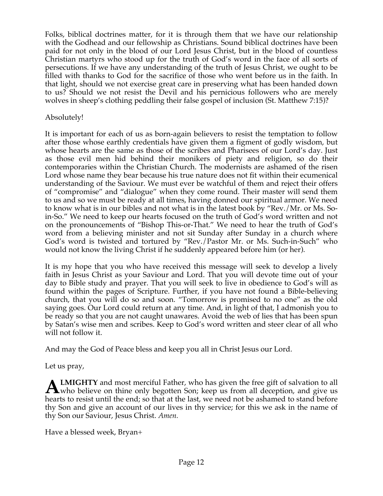Folks, biblical doctrines matter, for it is through them that we have our relationship with the Godhead and our fellowship as Christians. Sound biblical doctrines have been paid for not only in the blood of our Lord Jesus Christ, but in the blood of countless Christian martyrs who stood up for the truth of God's word in the face of all sorts of persecutions. If we have any understanding of the truth of Jesus Christ, we ought to be filled with thanks to God for the sacrifice of those who went before us in the faith. In that light, should we not exercise great care in preserving what has been handed down to us? Should we not resist the Devil and his pernicious followers who are merely wolves in sheep's clothing peddling their false gospel of inclusion (St. Matthew 7:15)?

#### Absolutely!

It is important for each of us as born-again believers to resist the temptation to follow after those whose earthly credentials have given them a figment of godly wisdom, but whose hearts are the same as those of the scribes and Pharisees of our Lord's day. Just as those evil men hid behind their monikers of piety and religion, so do their contemporaries within the Christian Church. The modernists are ashamed of the risen Lord whose name they bear because his true nature does not fit within their ecumenical understanding of the Saviour. We must ever be watchful of them and reject their offers of "compromise" and "dialogue" when they come round. Their master will send them to us and so we must be ready at all times, having donned our spiritual armor. We need to know what is in our bibles and not what is in the latest book by "Rev./Mr. or Ms. Soin-So." We need to keep our hearts focused on the truth of God's word written and not on the pronouncements of "Bishop This-or-That." We need to hear the truth of God's word from a believing minister and not sit Sunday after Sunday in a church where God's word is twisted and tortured by "Rev./Pastor Mr. or Ms. Such-in-Such" who would not know the living Christ if he suddenly appeared before him (or her).

It is my hope that you who have received this message will seek to develop a lively faith in Jesus Christ as your Saviour and Lord. That you will devote time out of your day to Bible study and prayer. That you will seek to live in obedience to God's will as found within the pages of Scripture. Further, if you have not found a Bible-believing church, that you will do so and soon. "Tomorrow is promised to no one" as the old saying goes. Our Lord could return at any time. And, in light of that, I admonish you to be ready so that you are not caught unawares. Avoid the web of lies that has been spun by Satan's wise men and scribes. Keep to God's word written and steer clear of all who will not follow it.

And may the God of Peace bless and keep you all in Christ Jesus our Lord.

Let us pray,

**LMIGHTY** and most merciful Father, who has given the free gift of salvation to all **ALMIGHTY** and most merciful Father, who has given the free gift of salvation to all who believe on thine only begotten Son; keep us from all deception, and give us hard to present the principle will then  $\mathbb{R}$ hearts to resist until the end; so that at the last, we need not be ashamed to stand before thy Son and give an account of our lives in thy service; for this we ask in the name of thy Son our Saviour, Jesus Christ. *Amen.*

Have a blessed week, Bryan+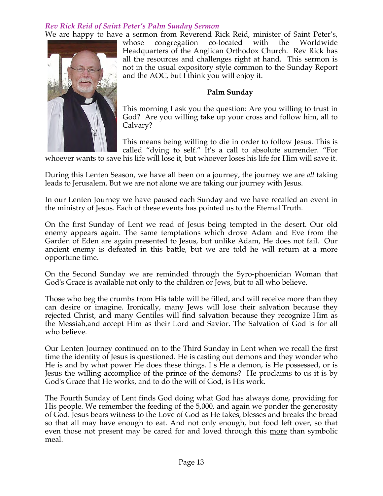# *Rev Rick Reid of Saint Peter's Palm Sunday Sermon*

We are happy to have a sermon from Reverend Rick Reid, minister of Saint Peter's, whose congregation co-located with the Worldwide Headquarters of the Anglican Orthodox Church. Rev Rick has all the resources and challenges right at hand. This sermon is not in the usual expository style common to the Sunday Report and the AOC, but I think you will enjoy it.

#### **Palm Sunday**

This morning I ask you the question: Are you willing to trust in God? Are you willing take up your cross and follow him, all to Calvary?

This means being willing to die in order to follow Jesus. This is called "dying to self." It's a call to absolute surrender. "For

whoever wants to save his life will lose it, but whoever loses his life for Him will save it.

During this Lenten Season, we have all been on a journey, the journey we are *all* taking leads to Jerusalem. But we are not alone we are taking our journey with Jesus.

In our Lenten Journey we have paused each Sunday and we have recalled an event in the ministry of Jesus. Each of these events has pointed us to the Eternal Truth.

On the first Sunday of Lent we read of Jesus being tempted in the desert. Our old enemy appears again. The same temptations which drove Adam and Eve from the Garden of Eden are again presented to Jesus, but unlike Adam, He does not fail. Our ancient enemy is defeated in this battle, but we are told he will return at a more opportune time.

On the Second Sunday we are reminded through the Syro-phoenician Woman that God's Grace is available not only to the children or Jews, but to all who believe.

Those who beg the crumbs from His table will be filled, and will receive more than they can desire or imagine. Ironically, many Jews will lose their salvation because they rejected Christ, and many Gentiles will find salvation because they recognize Him as the Messiah,and accept Him as their Lord and Savior. The Salvation of God is for all who believe.

Our Lenten Journey continued on to the Third Sunday in Lent when we recall the first time the identity of Jesus is questioned. He is casting out demons and they wonder who He is and by what power He does these things. I s He a demon, is He possessed, or is Jesus the willing accomplice of the prince of the demons? He proclaims to us it is by God's Grace that He works, and to do the will of God, is His work.

The Fourth Sunday of Lent finds God doing what God has always done, providing for His people. We remember the feeding of the 5,000, and again we ponder the generosity of God. Jesus bears witness to the Love of God as He takes, blesses and breaks the bread so that all may have enough to eat. And not only enough, but food left over, so that even those not present may be cared for and loved through this more than symbolic meal.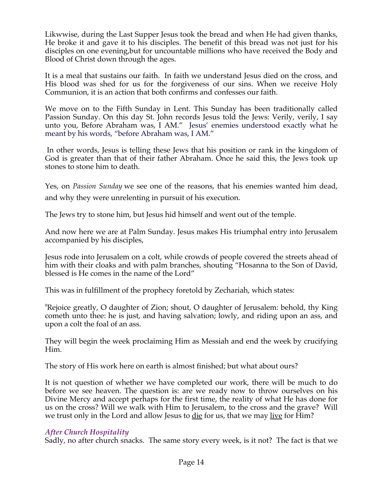Likwwise, during the Last Supper Jesus took the bread and when He had given thanks, He broke it and gave it to his disciples. The benefit of this bread was not just for his disciples on one evening,but for uncountable millions who have received the Body and Blood of Christ down through the ages.

It is a meal that sustains our faith. In faith we understand Jesus died on the cross, and His blood was shed for us for the forgiveness of our sins. When we receive Holy Communion, it is an action that both confirms and confesses our faith.

We move on to the Fifth Sunday in Lent. This Sunday has been traditionally called Passion Sunday. On this day St. John records Jesus told the Jews: Verily, verily, I say unto you, Before Abraham was, I AM." Jesus' enemies understood exactly what he meant by his words, "before Abraham was, I AM."

In other words, Jesus is telling these Jews that his position or rank in the kingdom of God is greater than that of their father Abraham. Once he said this, the Jews took up stones to stone him to death.

Yes, on *Passion Sunday* we see one of the reasons, that his enemies wanted him dead, and why they were unrelenting in pursuit of his execution.

The Jews try to stone him, but Jesus hid himself and went out of the temple.

And now here we are at Palm Sunday. Jesus makes His triumphal entry into Jerusalem accompanied by his disciples,

Jesus rode into Jerusalem on a colt, while crowds of people covered the streets ahead of him with their cloaks and with palm branches, shouting "Hosanna to the Son of David, blessed is He comes in the name of the Lord"

This was in fulfillment of the prophecy foretold by Zechariah, which states:

<sup>9</sup>Rejoice greatly, O daughter of Zion; shout, O daughter of Jerusalem: behold, thy King cometh unto thee: he is just, and having salvation; lowly, and riding upon an ass, and upon a colt the foal of an ass.

They will begin the week proclaiming Him as Messiah and end the week by crucifying Him.

The story of His work here on earth is almost finished; but what about ours?

It is not question of whether we have completed our work, there will be much to do before we see heaven. The question is: are we ready now to throw ourselves on his Divine Mercy and accept perhaps for the first time, the reality of what He has done for us on the cross? Will we walk with Him to Jerusalem, to the cross and the grave? Will we trust only in the Lord and allow Jesus to die for us, that we may live for Him?

# *After Church Hospitality*

Sadly, no after church snacks. The same story every week, is it not? The fact is that we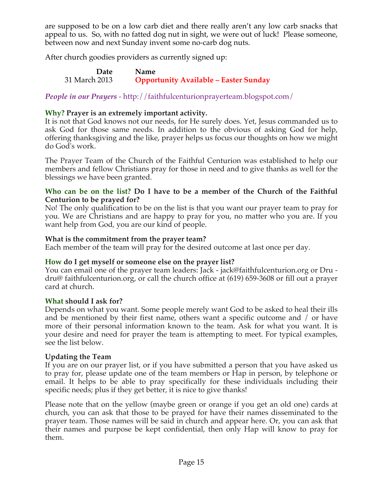are supposed to be on a low carb diet and there really aren't any low carb snacks that appeal to us. So, with no fatted dog nut in sight, we were out of luck! Please someone, between now and next Sunday invent some no-carb dog nuts.

After church goodies providers as currently signed up:

**Date Name** 31 March 2013 **Opportunity Available – Easter Sunday**

*People in our Prayers* - http://faithfulcenturionprayerteam.blogspot.com/

#### **Why? Prayer is an extremely important activity.**

It is not that God knows not our needs, for He surely does. Yet, Jesus commanded us to ask God for those same needs. In addition to the obvious of asking God for help, offering thanksgiving and the like, prayer helps us focus our thoughts on how we might do God's work.

The Prayer Team of the Church of the Faithful Centurion was established to help our members and fellow Christians pray for those in need and to give thanks as well for the blessings we have been granted.

#### **Who can be on the list? Do I have to be a member of the Church of the Faithful Centurion to be prayed for?**

No! The only qualification to be on the list is that you want our prayer team to pray for you. We are Christians and are happy to pray for you, no matter who you are. If you want help from God, you are our kind of people.

#### **What is the commitment from the prayer team?**

Each member of the team will pray for the desired outcome at last once per day.

#### **How do I get myself or someone else on the prayer list?**

You can email one of the prayer team leaders: Jack - jack@faithfulcenturion.org or Dru dru@ faithfulcenturion.org, or call the church office at (619) 659-3608 or fill out a prayer card at church.

#### **What should I ask for?**

Depends on what you want. Some people merely want God to be asked to heal their ills and be mentioned by their first name, others want a specific outcome and / or have more of their personal information known to the team. Ask for what you want. It is your desire and need for prayer the team is attempting to meet. For typical examples, see the list below.

#### **Updating the Team**

If you are on our prayer list, or if you have submitted a person that you have asked us to pray for, please update one of the team members or Hap in person, by telephone or email. It helps to be able to pray specifically for these individuals including their specific needs; plus if they get better, it is nice to give thanks!

Please note that on the yellow (maybe green or orange if you get an old one) cards at church, you can ask that those to be prayed for have their names disseminated to the prayer team. Those names will be said in church and appear here. Or, you can ask that their names and purpose be kept confidential, then only Hap will know to pray for them.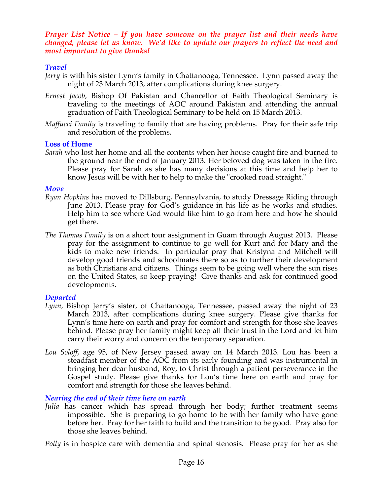*Prayer List Notice – If you have someone on the prayer list and their needs have changed, please let us know. We'd like to update our prayers to reflect the need and most important to give thanks!*

# *Travel*

- *Jerry* is with his sister Lynn's family in Chattanooga, Tennessee. Lynn passed away the night of 23 March 2013, after complications during knee surgery.
- *Ernest Jacob,* Bishop Of Pakistan and Chancellor of Faith Theological Seminary is traveling to the meetings of AOC around Pakistan and attending the annual graduation of Faith Theological Seminary to be held on 15 March 2013.
- *Maffucci Family* is traveling to family that are having problems. Pray for their safe trip and resolution of the problems.

#### **Loss of Home**

*Sarah* who lost her home and all the contents when her house caught fire and burned to the ground near the end of January 2013. Her beloved dog was taken in the fire. Please pray for Sarah as she has many decisions at this time and help her to know Jesus will be with her to help to make the "crooked road straight."

#### *Move*

- *Ryan Hopkins* has moved to Dillsburg, Pennsylvania, to study Dressage Riding through June 2013. Please pray for God's guidance in his life as he works and studies. Help him to see where God would like him to go from here and how he should get there.
- *The Thomas Family* is on a short tour assignment in Guam through August 2013. Please pray for the assignment to continue to go well for Kurt and for Mary and the kids to make new friends. In particular pray that Kristyna and Mitchell will develop good friends and schoolmates there so as to further their development as both Christians and citizens. Things seem to be going well where the sun rises on the United States, so keep praying! Give thanks and ask for continued good developments.

# *Departed*

- *Lynn,* Bishop Jerry's sister, of Chattanooga, Tennessee, passed away the night of 23 March 2013, after complications during knee surgery. Please give thanks for Lynn's time here on earth and pray for comfort and strength for those she leaves behind. Please pray her family might keep all their trust in the Lord and let him carry their worry and concern on the temporary separation.
- *Lou Soloff*, age 95, of New Jersey passed away on 14 March 2013. Lou has been a steadfast member of the AOC from its early founding and was instrumental in bringing her dear husband, Roy, to Christ through a patient perseverance in the Gospel study. Please give thanks for Lou's time here on earth and pray for comfort and strength for those she leaves behind.

# *Nearing the end of their time here on earth*

*Julia* has cancer which has spread through her body; further treatment seems impossible. She is preparing to go home to be with her family who have gone before her. Pray for her faith to build and the transition to be good. Pray also for those she leaves behind.

*Polly* is in hospice care with dementia and spinal stenosis. Please pray for her as she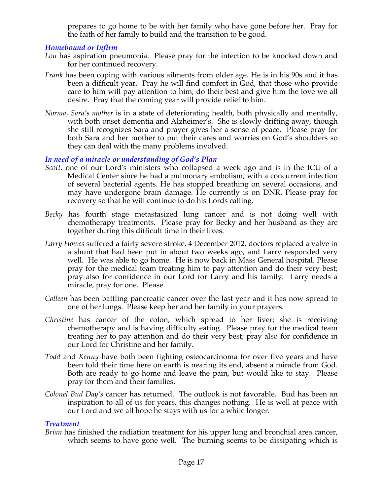prepares to go home to be with her family who have gone before her. Pray for the faith of her family to build and the transition to be good.

#### *Homebound or Infirm*

- *Lou* has aspiration pneumonia. Please pray for the infection to be knocked down and for her continued recovery.
- *Frank* has been coping with various ailments from older age. He is in his 90s and it has been a difficult year. Pray he will find comfort in God, that those who provide care to him will pay attention to him, do their best and give him the love we all desire. Pray that the coming year will provide relief to him.
- *Norma, Sara's mother* is in a state of deteriorating health, both physically and mentally, with both onset dementia and Alzheimer's. She is slowly drifting away, though she still recognizes Sara and prayer gives her a sense of peace. Please pray for both Sara and her mother to put their cares and worries on God's shoulders so they can deal with the many problems involved.

#### *In need of a miracle or understanding of God's Plan*

- *Scott,* one of our Lord's ministers who collapsed a week ago and is in the ICU of a Medical Center since he had a pulmonary embolism, with a concurrent infection of several bacterial agents. He has stopped breathing on several occasions, and may have undergone brain damage. He currently is on DNR. Please pray for recovery so that he will continue to do his Lords calling*.*
- *Becky* has fourth stage metastasized lung cancer and is not doing well with chemotherapy treatments. Please pray for Becky and her husband as they are together during this difficult time in their lives.
- *Larry Howes* suffered a fairly severe stroke. 4 December 2012, doctors replaced a valve in a shunt that had been put in about two weeks ago, and Larry responded very well. He was able to go home. He is now back in Mass General hospital. Please pray for the medical team treating him to pay attention and do their very best; pray also for confidence in our Lord for Larry and his family. Larry needs a miracle, pray for one. Please.
- *Colleen* has been battling pancreatic cancer over the last year and it has now spread to one of her lungs. Please keep her and her family in your prayers.
- *Christine* has cancer of the colon, which spread to her liver; she is receiving chemotherapy and is having difficulty eating. Please pray for the medical team treating her to pay attention and do their very best; pray also for confidence in our Lord for Christine and her family.
- *Todd* and *Kenny* have both been fighting osteocarcinoma for over five years and have been told their time here on earth is nearing its end, absent a miracle from God. Both are ready to go home and leave the pain, but would like to stay. Please pray for them and their families.
- *Colonel Bud Day's* cancer has returned. The outlook is not favorable. Bud has been an inspiration to all of us for years, this changes nothing. He is well at peace with our Lord and we all hope he stays with us for a while longer.

#### *Treatment*

*Brian* has finished the radiation treatment for his upper lung and bronchial area cancer, which seems to have gone well. The burning seems to be dissipating which is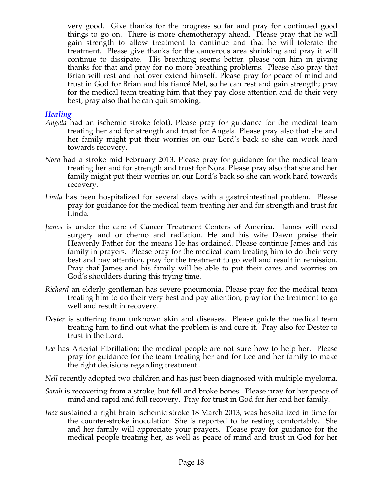very good. Give thanks for the progress so far and pray for continued good things to go on. There is more chemotherapy ahead. Please pray that he will gain strength to allow treatment to continue and that he will tolerate the treatment. Please give thanks for the cancerous area shrinking and pray it will continue to dissipate. His breathing seems better, please join him in giving thanks for that and pray for no more breathing problems. Please also pray that Brian will rest and not over extend himself. Please pray for peace of mind and trust in God for Brian and his fiancé Mel, so he can rest and gain strength; pray for the medical team treating him that they pay close attention and do their very best; pray also that he can quit smoking.

#### *Healing*

- *Angela* had an ischemic stroke (clot). Please pray for guidance for the medical team treating her and for strength and trust for Angela. Please pray also that she and her family might put their worries on our Lord's back so she can work hard towards recovery.
- *Nora* had a stroke mid February 2013. Please pray for guidance for the medical team treating her and for strength and trust for Nora. Please pray also that she and her family might put their worries on our Lord's back so she can work hard towards recovery.
- *Linda* has been hospitalized for several days with a gastrointestinal problem. Please pray for guidance for the medical team treating her and for strength and trust for Linda.
- *James* is under the care of Cancer Treatment Centers of America. James will need surgery and or chemo and radiation. He and his wife Dawn praise their Heavenly Father for the means He has ordained. Please continue James and his family in prayers. Please pray for the medical team treating him to do their very best and pay attention, pray for the treatment to go well and result in remission. Pray that James and his family will be able to put their cares and worries on God's shoulders during this trying time.
- *Richard* an elderly gentleman has severe pneumonia. Please pray for the medical team treating him to do their very best and pay attention, pray for the treatment to go well and result in recovery.
- *Dester* is suffering from unknown skin and diseases. Please guide the medical team treating him to find out what the problem is and cure it. Pray also for Dester to trust in the Lord.
- *Lee* has Arterial Fibrillation; the medical people are not sure how to help her. Please pray for guidance for the team treating her and for Lee and her family to make the right decisions regarding treatment..
- *Nell* recently adopted two children and has just been diagnosed with multiple myeloma.
- *Sarah* is recovering from a stroke, but fell and broke bones. Please pray for her peace of mind and rapid and full recovery. Pray for trust in God for her and her family.
- *Inez* sustained a right brain ischemic stroke 18 March 2013, was hospitalized in time for the counter-stroke inoculation. She is reported to be resting comfortably. She and her family will appreciate your prayers. Please pray for guidance for the medical people treating her, as well as peace of mind and trust in God for her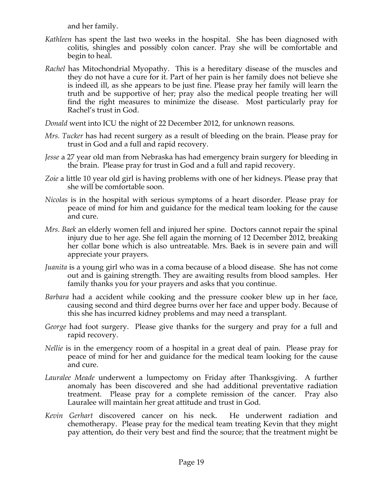and her family.

- *Kathleen* has spent the last two weeks in the hospital. She has been diagnosed with colitis, shingles and possibly colon cancer. Pray she will be comfortable and begin to heal.
- *Rachel* has Mitochondrial Myopathy. This is a hereditary disease of the muscles and they do not have a cure for it. Part of her pain is her family does not believe she is indeed ill, as she appears to be just fine. Please pray her family will learn the truth and be supportive of her; pray also the medical people treating her will find the right measures to minimize the disease. Most particularly pray for Rachel's trust in God.

*Donald* went into ICU the night of 22 December 2012, for unknown reasons.

- *Mrs. Tucker* has had recent surgery as a result of bleeding on the brain. Please pray for trust in God and a full and rapid recovery.
- *Jesse* a 27 year old man from Nebraska has had emergency brain surgery for bleeding in the brain. Please pray for trust in God and a full and rapid recovery.
- *Zoie* a little 10 year old girl is having problems with one of her kidneys. Please pray that she will be comfortable soon.
- *Nicolas* is in the hospital with serious symptoms of a heart disorder. Please pray for peace of mind for him and guidance for the medical team looking for the cause and cure.
- *Mrs. Baek* an elderly women fell and injured her spine. Doctors cannot repair the spinal injury due to her age. She fell again the morning of 12 December 2012, breaking her collar bone which is also untreatable. Mrs. Baek is in severe pain and will appreciate your prayers.
- *Juanita* is a young girl who was in a coma because of a blood disease. She has not come out and is gaining strength. They are awaiting results from blood samples. Her family thanks you for your prayers and asks that you continue.
- *Barbara* had a accident while cooking and the pressure cooker blew up in her face, causing second and third degree burns over her face and upper body. Because of this she has incurred kidney problems and may need a transplant.
- *George* had foot surgery. Please give thanks for the surgery and pray for a full and rapid recovery.
- *Nellie* is in the emergency room of a hospital in a great deal of pain. Please pray for peace of mind for her and guidance for the medical team looking for the cause and cure.
- *Lauralee Meade* underwent a lumpectomy on Friday after Thanksgiving. A further anomaly has been discovered and she had additional preventative radiation treatment. Please pray for a complete remission of the cancer. Pray also Lauralee will maintain her great attitude and trust in God.
- *Kevin Gerhart* discovered cancer on his neck. He underwent radiation and chemotherapy. Please pray for the medical team treating Kevin that they might pay attention, do their very best and find the source; that the treatment might be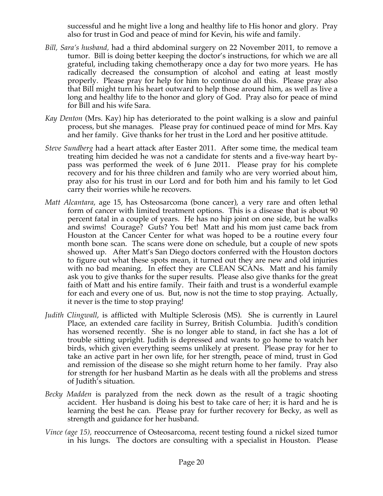successful and he might live a long and healthy life to His honor and glory. Pray also for trust in God and peace of mind for Kevin, his wife and family.

- *Bill, Sara's husband,* had a third abdominal surgery on 22 November 2011, to remove a tumor. Bill is doing better keeping the doctor's instructions, for which we are all grateful, including taking chemotherapy once a day for two more years. He has radically decreased the consumption of alcohol and eating at least mostly properly. Please pray for help for him to continue do all this. Please pray also that Bill might turn his heart outward to help those around him, as well as live a long and healthy life to the honor and glory of God. Pray also for peace of mind for Bill and his wife Sara.
- *Kay Denton* (Mrs. Kay) hip has deteriorated to the point walking is a slow and painful process, but she manages. Please pray for continued peace of mind for Mrs. Kay and her family. Give thanks for her trust in the Lord and her positive attitude.
- *Steve Sundberg* had a heart attack after Easter 2011. After some time, the medical team treating him decided he was not a candidate for stents and a five-way heart bypass was performed the week of 6 June 2011. Please pray for his complete recovery and for his three children and family who are very worried about him, pray also for his trust in our Lord and for both him and his family to let God carry their worries while he recovers.
- *Matt Alcantara*, age 15, has Osteosarcoma (bone cancer), a very rare and often lethal form of cancer with limited treatment options. This is a disease that is about 90 percent fatal in a couple of years. He has no hip joint on one side, but he walks and swims! Courage? Guts? You bet! Matt and his mom just came back from Houston at the Cancer Center for what was hoped to be a routine every four month bone scan. The scans were done on schedule, but a couple of new spots showed up. After Matt's San Diego doctors conferred with the Houston doctors to figure out what these spots mean, it turned out they are new and old injuries with no bad meaning. In effect they are CLEAN SCANs. Matt and his family ask you to give thanks for the super results. Please also give thanks for the great faith of Matt and his entire family. Their faith and trust is a wonderful example for each and every one of us. But, now is not the time to stop praying. Actually, it never is the time to stop praying!
- *Judith Clingwall*, is afflicted with Multiple Sclerosis (MS). She is currently in Laurel Place, an extended care facility in Surrey, British Columbia. Judith's condition has worsened recently. She is no longer able to stand, in fact she has a lot of trouble sitting upright. Judith is depressed and wants to go home to watch her birds, which given everything seems unlikely at present. Please pray for her to take an active part in her own life, for her strength, peace of mind, trust in God and remission of the disease so she might return home to her family. Pray also for strength for her husband Martin as he deals with all the problems and stress of Judith's situation.
- *Becky Madden* is paralyzed from the neck down as the result of a tragic shooting accident. Her husband is doing his best to take care of her; it is hard and he is learning the best he can. Please pray for further recovery for Becky, as well as strength and guidance for her husband.
- *Vince (age 15),* reoccurrence of Osteosarcoma, recent testing found a nickel sized tumor in his lungs. The doctors are consulting with a specialist in Houston. Please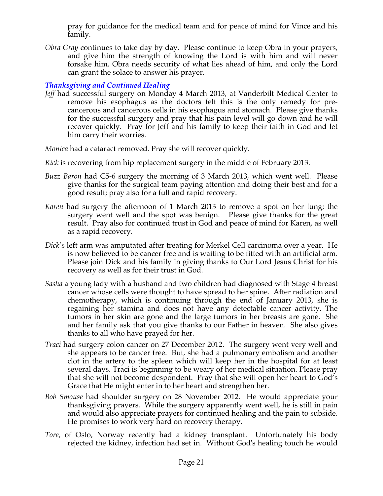pray for guidance for the medical team and for peace of mind for Vince and his family.

*Obra Gray* continues to take day by day. Please continue to keep Obra in your prayers, and give him the strength of knowing the Lord is with him and will never forsake him. Obra needs security of what lies ahead of him, and only the Lord can grant the solace to answer his prayer.

# *Thanksgiving and Continued Healing*

*Jeff* had successful surgery on Monday 4 March 2013, at Vanderbilt Medical Center to remove his esophagus as the doctors felt this is the only remedy for precancerous and cancerous cells in his esophagus and stomach. Please give thanks for the successful surgery and pray that his pain level will go down and he will recover quickly. Pray for Jeff and his family to keep their faith in God and let him carry their worries.

*Monica* had a cataract removed. Pray she will recover quickly.

- *Rick* is recovering from hip replacement surgery in the middle of February 2013.
- *Buzz Baron* had C5-6 surgery the morning of 3 March 2013, which went well. Please give thanks for the surgical team paying attention and doing their best and for a good result; pray also for a full and rapid recovery.
- *Karen* had surgery the afternoon of 1 March 2013 to remove a spot on her lung; the surgery went well and the spot was benign. Please give thanks for the great result. Pray also for continued trust in God and peace of mind for Karen, as well as a rapid recovery.
- *Dick*'s left arm was amputated after treating for Merkel Cell carcinoma over a year. He is now believed to be cancer free and is waiting to be fitted with an artificial arm. Please join Dick and his family in giving thanks to Our Lord Jesus Christ for his recovery as well as for their trust in God.
- *Sasha* a young lady with a husband and two children had diagnosed with Stage 4 breast cancer whose cells were thought to have spread to her spine. After radiation and chemotherapy, which is continuing through the end of January 2013, she is regaining her stamina and does not have any detectable cancer activity. The tumors in her skin are gone and the large tumors in her breasts are gone. She and her family ask that you give thanks to our Father in heaven. She also gives thanks to all who have prayed for her.
- *Traci* had surgery colon cancer on 27 December 2012. The surgery went very well and she appears to be cancer free. But, she had a pulmonary embolism and another clot in the artery to the spleen which will keep her in the hospital for at least several days. Traci is beginning to be weary of her medical situation. Please pray that she will not become despondent. Pray that she will open her heart to God's Grace that He might enter in to her heart and strengthen her.
- *Bob Smouse* had shoulder surgery on 28 November 2012. He would appreciate your thanksgiving prayers. While the surgery apparently went well, he is still in pain and would also appreciate prayers for continued healing and the pain to subside. He promises to work very hard on recovery therapy.
- *Tore*, of Oslo, Norway recently had a kidney transplant. Unfortunately his body rejected the kidney, infection had set in. Without God's healing touch he would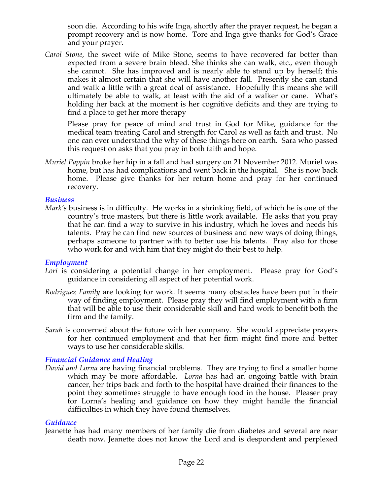soon die. According to his wife Inga, shortly after the prayer request, he began a prompt recovery and is now home. Tore and Inga give thanks for God's Grace and your prayer.

*Carol Stone*, the sweet wife of Mike Stone, seems to have recovered far better than expected from a severe brain bleed. She thinks she can walk, etc., even though she cannot. She has improved and is nearly able to stand up by herself; this makes it almost certain that she will have another fall. Presently she can stand and walk a little with a great deal of assistance. Hopefully this means she will ultimately be able to walk, at least with the aid of a walker or cane. What's holding her back at the moment is her cognitive deficits and they are trying to find a place to get her more therapy

Please pray for peace of mind and trust in God for Mike, guidance for the medical team treating Carol and strength for Carol as well as faith and trust. No one can ever understand the why of these things here on earth. Sara who passed this request on asks that you pray in both faith and hope.

*Muriel Pappin* broke her hip in a fall and had surgery on 21 November 2012. Muriel was home, but has had complications and went back in the hospital. She is now back home. Please give thanks for her return home and pray for her continued recovery.

#### *Business*

*Mark's* business is in difficulty. He works in a shrinking field, of which he is one of the country's true masters, but there is little work available. He asks that you pray that he can find a way to survive in his industry, which he loves and needs his talents. Pray he can find new sources of business and new ways of doing things, perhaps someone to partner with to better use his talents. Pray also for those who work for and with him that they might do their best to help.

#### *Employment*

- Lori is considering a potential change in her employment. Please pray for God's guidance in considering all aspect of her potential work.
- *Rodriguez Family* are looking for work. It seems many obstacles have been put in their way of finding employment. Please pray they will find employment with a firm that will be able to use their considerable skill and hard work to benefit both the firm and the family.
- *Sarah* is concerned about the future with her company. She would appreciate prayers for her continued employment and that her firm might find more and better ways to use her considerable skills.

#### *Financial Guidance and Healing*

*David and Lorna* are having financial problems. They are trying to find a smaller home which may be more affordable. *Lorna* has had an ongoing battle with brain cancer, her trips back and forth to the hospital have drained their finances to the point they sometimes struggle to have enough food in the house. Pleaser pray for Lorna's healing and guidance on how they might handle the financial difficulties in which they have found themselves.

#### *Guidance*

Jeanette has had many members of her family die from diabetes and several are near death now. Jeanette does not know the Lord and is despondent and perplexed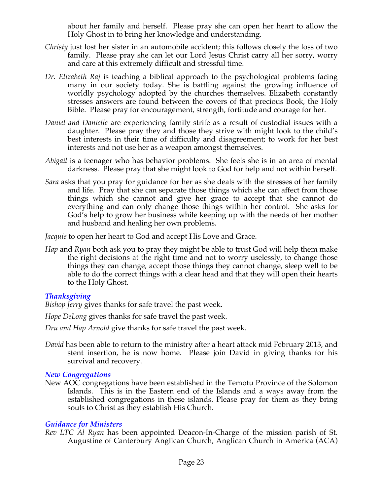about her family and herself. Please pray she can open her heart to allow the Holy Ghost in to bring her knowledge and understanding.

- *Christy* just lost her sister in an automobile accident; this follows closely the loss of two family. Please pray she can let our Lord Jesus Christ carry all her sorry, worry and care at this extremely difficult and stressful time.
- *Dr. Elizabeth Raj* is teaching a biblical approach to the psychological problems facing many in our society today. She is battling against the growing influence of worldly psychology adopted by the churches themselves. Elizabeth constantly stresses answers are found between the covers of that precious Book, the Holy Bible. Please pray for encouragement, strength, fortitude and courage for her.
- *Daniel and Danielle* are experiencing family strife as a result of custodial issues with a daughter. Please pray they and those they strive with might look to the child's best interests in their time of difficulty and disagreement; to work for her best interests and not use her as a weapon amongst themselves.
- *Abigail* is a teenager who has behavior problems. She feels she is in an area of mental darkness. Please pray that she might look to God for help and not within herself.
- *Sara* asks that you pray for guidance for her as she deals with the stresses of her family and life. Pray that she can separate those things which she can affect from those things which she cannot and give her grace to accept that she cannot do everything and can only change those things within her control. She asks for God's help to grow her business while keeping up with the needs of her mother and husband and healing her own problems.

*Jacquie* to open her heart to God and accept His Love and Grace.

*Hap* and *Ryan* both ask you to pray they might be able to trust God will help them make the right decisions at the right time and not to worry uselessly, to change those things they can change, accept those things they cannot change, sleep well to be able to do the correct things with a clear head and that they will open their hearts to the Holy Ghost.

# *Thanksgiving*

*Bishop Jerry* gives thanks for safe travel the past week.

*Hope DeLong* gives thanks for safe travel the past week.

*Dru and Hap Arnold* give thanks for safe travel the past week.

*David* has been able to return to the ministry after a heart attack mid February 2013, and stent insertion, he is now home. Please join David in giving thanks for his survival and recovery.

# *New Congregations*

New AOC congregations have been established in the Temotu Province of the Solomon Islands. This is in the Eastern end of the Islands and a ways away from the established congregations in these islands. Please pray for them as they bring souls to Christ as they establish His Church.

#### *Guidance for Ministers*

*Rev LTC Al Ryan* has been appointed Deacon-In-Charge of the mission parish of St. Augustine of Canterbury Anglican Church, Anglican Church in America (ACA)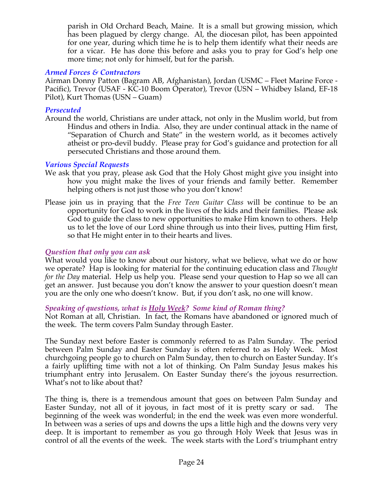parish in Old Orchard Beach, Maine. It is a small but growing mission, which has been plagued by clergy change. Al, the diocesan pilot, has been appointed for one year, during which time he is to help them identify what their needs are for a vicar. He has done this before and asks you to pray for God's help one more time; not only for himself, but for the parish.

#### *Armed Forces & Contractors*

Airman Donny Patton (Bagram AB, Afghanistan), Jordan (USMC – Fleet Marine Force - Pacific), Trevor (USAF - KC-10 Boom Operator), Trevor (USN – Whidbey Island, EF-18 Pilot), Kurt Thomas (USN – Guam)

#### *Persecuted*

Around the world, Christians are under attack, not only in the Muslim world, but from Hindus and others in India. Also, they are under continual attack in the name of "Separation of Church and State" in the western world, as it becomes actively atheist or pro-devil buddy. Please pray for God's guidance and protection for all persecuted Christians and those around them.

#### *Various Special Requests*

- We ask that you pray, please ask God that the Holy Ghost might give you insight into how you might make the lives of your friends and family better. Remember helping others is not just those who you don't know!
- Please join us in praying that the *Free Teen Guitar Class* will be continue to be an opportunity for God to work in the lives of the kids and their families. Please ask God to guide the class to new opportunities to make Him known to others. Help us to let the love of our Lord shine through us into their lives, putting Him first, so that He might enter in to their hearts and lives.

# *Question that only you can ask*

What would you like to know about our history, what we believe, what we do or how we operate? Hap is looking for material for the continuing education class and *Thought for the Day* material. Help us help you. Please send your question to Hap so we all can get an answer. Just because you don't know the answer to your question doesn't mean you are the only one who doesn't know. But, if you don't ask, no one will know.

#### *Speaking of questions, what is Holy Week? Some kind of Roman thing?*

Not Roman at all, Christian. In fact, the Romans have abandoned or ignored much of the week. The term covers Palm Sunday through Easter.

The Sunday next before Easter is commonly referred to as Palm Sunday. The period between Palm Sunday and Easter Sunday is often referred to as Holy Week. Most churchgoing people go to church on Palm Sunday, then to church on Easter Sunday. It's a fairly uplifting time with not a lot of thinking. On Palm Sunday Jesus makes his triumphant entry into Jerusalem. On Easter Sunday there's the joyous resurrection. What's not to like about that?

The thing is, there is a tremendous amount that goes on between Palm Sunday and Easter Sunday, not all of it joyous, in fact most of it is pretty scary or sad. The beginning of the week was wonderful; in the end the week was even more wonderful. In between was a series of ups and downs the ups a little high and the downs very very deep. It is important to remember as you go through Holy Week that Jesus was in control of all the events of the week. The week starts with the Lord's triumphant entry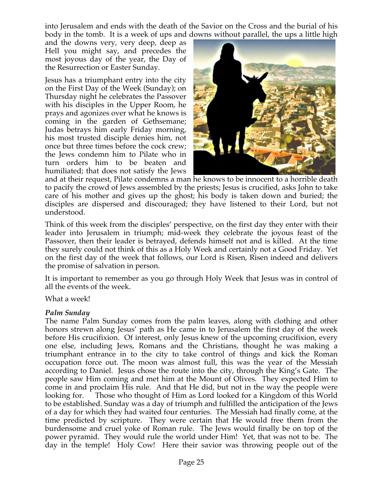into Jerusalem and ends with the death of the Savior on the Cross and the burial of his body in the tomb. It is a week of ups and downs without parallel, the ups a little high

and the downs very, very deep, deep as Hell you might say, and precedes the most joyous day of the year, the Day of the Resurrection or Easter Sunday.

Jesus has a triumphant entry into the city on the First Day of the Week (Sunday); on Thursday night he celebrates the Passover with his disciples in the Upper Room, he prays and agonizes over what he knows is coming in the garden of Gethsemane; Judas betrays him early Friday morning, his most trusted disciple denies him, not once but three times before the cock crew; the Jews condemn him to Pilate who in turn orders him to be beaten and humiliated; that does not satisfy the Jews



and at their request, Pilate condemns a man he knows to be innocent to a horrible death to pacify the crowd of Jews assembled by the priests; Jesus is crucified, asks John to take care of his mother and gives up the ghost; his body is taken down and buried; the disciples are dispersed and discouraged; they have listened to their Lord, but not understood.

Think of this week from the disciples' perspective, on the first day they enter with their leader into Jerusalem in triumph; mid-week they celebrate the joyous feast of the Passover, then their leader is betrayed, defends himself not and is killed. At the time they surely could not think of this as a Holy Week and certainly not a Good Friday. Yet on the first day of the week that follows, our Lord is Risen, Risen indeed and delivers the promise of salvation in person.

It is important to remember as you go through Holy Week that Jesus was in control of all the events of the week.

What a week!

#### *Palm Sunday*

The name Palm Sunday comes from the palm leaves, along with clothing and other honors strewn along Jesus' path as He came in to Jerusalem the first day of the week before His crucifixion. Of interest, only Jesus knew of the upcoming crucifixion, every one else, including Jews, Romans and the Christians, thought he was making a triumphant entrance in to the city to take control of things and kick the Roman occupation force out. The moon was almost full, this was the year of the Messiah according to Daniel. Jesus chose the route into the city, through the King's Gate. The people saw Him coming and met him at the Mount of Olives. They expected Him to come in and proclaim His rule. And that He did, but not in the way the people were looking for. Those who thought of Him as Lord looked for a Kingdom of this World to be established. Sunday was a day of triumph and fulfilled the anticipation of the Jews of a day for which they had waited four centuries. The Messiah had finally come, at the time predicted by scripture. They were certain that He would free them from the burdensome and cruel yoke of Roman rule. The Jews would finally be on top of the power pyramid. They would rule the world under Him! Yet, that was not to be. The day in the temple! Holy Cow! Here their savior was throwing people out of the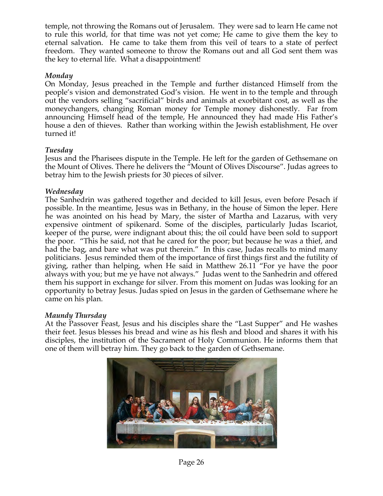temple, not throwing the Romans out of Jerusalem. They were sad to learn He came not to rule this world, for that time was not yet come; He came to give them the key to eternal salvation. He came to take them from this veil of tears to a state of perfect freedom. They wanted someone to throw the Romans out and all God sent them was the key to eternal life. What a disappointment!

#### *Monday*

On Monday, Jesus preached in the Temple and further distanced Himself from the people's vision and demonstrated God's vision. He went in to the temple and through out the vendors selling "sacrificial" birds and animals at exorbitant cost, as well as the moneychangers, changing Roman money for Temple money dishonestly. Far from announcing Himself head of the temple, He announced they had made His Father's house a den of thieves. Rather than working within the Jewish establishment, He over turned it!

#### *Tuesday*

Jesus and the Pharisees dispute in the Temple. He left for the garden of Gethsemane on the Mount of Olives. There he delivers the "Mount of Olives Discourse". Judas agrees to betray him to the Jewish priests for 30 pieces of silver.

#### *Wednesday*

The Sanhedrin was gathered together and decided to kill Jesus, even before Pesach if possible. In the meantime, Jesus was in Bethany, in the house of Simon the leper. Here he was anointed on his head by Mary, the sister of Martha and Lazarus, with very expensive ointment of spikenard. Some of the disciples, particularly Judas Iscariot, keeper of the purse, were indignant about this; the oil could have been sold to support the poor. "This he said, not that he cared for the poor; but because he was a thief, and had the bag, and bare what was put therein." In this case, Judas recalls to mind many politicians. Jesus reminded them of the importance of first things first and the futility of giving, rather than helping, when He said in Matthew 26.11 "For ye have the poor always with you; but me ye have not always." Judas went to the Sanhedrin and offered them his support in exchange for silver. From this moment on Judas was looking for an opportunity to betray Jesus. Judas spied on Jesus in the garden of Gethsemane where he came on his plan.

#### *Maundy Thursday*

At the Passover Feast, Jesus and his disciples share the "Last Supper" and He washes their feet. Jesus blesses his bread and wine as his flesh and blood and shares it with his disciples, the institution of the Sacrament of Holy Communion. He informs them that one of them will betray him. They go back to the garden of Gethsemane.



Page 26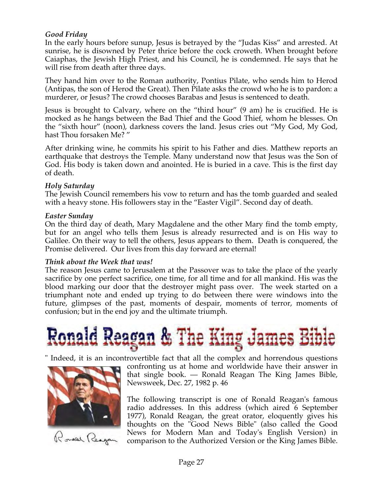# *Good Friday*

In the early hours before sunup, Jesus is betrayed by the "Judas Kiss" and arrested. At sunrise, he is disowned by Peter thrice before the cock croweth. When brought before Caiaphas, the Jewish High Priest, and his Council, he is condemned. He says that he will rise from death after three days.

They hand him over to the Roman authority, Pontius Pilate, who sends him to Herod (Antipas, the son of Herod the Great). Then Pilate asks the crowd who he is to pardon: a murderer, or Jesus? The crowd chooses Barabas and Jesus is sentenced to death.

Jesus is brought to Calvary, where on the "third hour" (9 am) he is crucified. He is mocked as he hangs between the Bad Thief and the Good Thief, whom he blesses. On the "sixth hour" (noon), darkness covers the land. Jesus cries out "My God, My God, hast Thou forsaken Me? "

After drinking wine, he commits his spirit to his Father and dies. Matthew reports an earthquake that destroys the Temple. Many understand now that Jesus was the Son of God. His body is taken down and anointed. He is buried in a cave. This is the first day of death.

#### *Holy Saturday*

The Jewish Council remembers his vow to return and has the tomb guarded and sealed with a heavy stone. His followers stay in the "Easter Vigil". Second day of death.

#### *Easter Sunday*

On the third day of death, Mary Magdalene and the other Mary find the tomb empty, but for an angel who tells them Jesus is already resurrected and is on His way to Galilee. On their way to tell the others, Jesus appears to them. Death is conquered, the Promise delivered. Our lives from this day forward are eternal!

#### *Think about the Week that was!*

The reason Jesus came to Jerusalem at the Passover was to take the place of the yearly sacrifice by one perfect sacrifice, one time, for all time and for all mankind. His was the blood marking our door that the destroyer might pass over. The week started on a triumphant note and ended up trying to do between there were windows into the future, glimpses of the past, moments of despair, moments of terror, moments of confusion; but in the end joy and the ultimate triumph.

# d Reagan & The King James Bible

" Indeed, it is an incontrovertible fact that all the complex and horrendous questions



Ronald Reagan

confronting us at home and worldwide have their answer in that single book. — Ronald Reagan The King James Bible, Newsweek, Dec. 27, 1982 p. 46

The following transcript is one of Ronald Reagan's famous radio addresses. In this address (which aired 6 September 1977), Ronald Reagan, the great orator, eloquently gives his thoughts on the "Good News Bible" (also called the Good News for Modern Man and Today's English Version) in comparison to the Authorized Version or the King James Bible.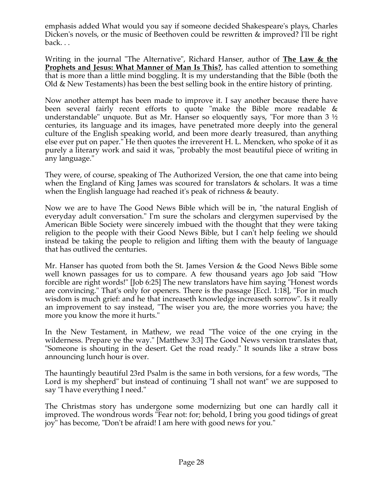emphasis added What would you say if someone decided Shakespeare's plays, Charles Dicken's novels, or the music of Beethoven could be rewritten & improved? I'll be right back. . .

Writing in the journal "The Alternative", Richard Hanser, author of **The Law & the Prophets and Jesus: What Manner of Man Is This?**, has called attention to something that is more than a little mind boggling. It is my understanding that the Bible (both the Old & New Testaments) has been the best selling book in the entire history of printing.

Now another attempt has been made to improve it. I say another because there have been several fairly recent efforts to quote "make the Bible more readable & understandable" unquote. But as Mr. Hanser so eloquently says, "For more than 3  $\frac{1}{2}$ centuries, its language and its images, have penetrated more deeply into the general culture of the English speaking world, and been more dearly treasured, than anything else ever put on paper." He then quotes the irreverent H. L. Mencken, who spoke of it as purely a literary work and said it was, "probably the most beautiful piece of writing in any language."

They were, of course, speaking of The Authorized Version, the one that came into being when the England of King James was scoured for translators & scholars. It was a time when the English language had reached it's peak of richness & beauty.

Now we are to have The Good News Bible which will be in, "the natural English of everyday adult conversation." I'm sure the scholars and clergymen supervised by the American Bible Society were sincerely imbued with the thought that they were taking religion to the people with their Good News Bible, but I can't help feeling we should instead be taking the people to religion and lifting them with the beauty of language that has outlived the centuries.

Mr. Hanser has quoted from both the St. James Version & the Good News Bible some well known passages for us to compare. A few thousand years ago Job said "How forcible are right words!" [Job 6:25] The new translators have him saying "Honest words are convincing." That's only for openers. There is the passage [Eccl. 1:18], "For in much wisdom is much grief: and he that increaseth knowledge increaseth sorrow". Is it really an improvement to say instead, "The wiser you are, the more worries you have; the more you know the more it hurts."

In the New Testament, in Mathew, we read "The voice of the one crying in the wilderness. Prepare ye the way." [Matthew 3:3] The Good News version translates that, "Someone is shouting in the desert. Get the road ready." It sounds like a straw boss announcing lunch hour is over.

The hauntingly beautiful 23rd Psalm is the same in both versions, for a few words, "The Lord is my shepherd" but instead of continuing "I shall not want" we are supposed to say "I have everything I need."

The Christmas story has undergone some modernizing but one can hardly call it improved. The wondrous words "Fear not: for; behold, I bring you good tidings of great joy" has become, "Don't be afraid! I am here with good news for you."